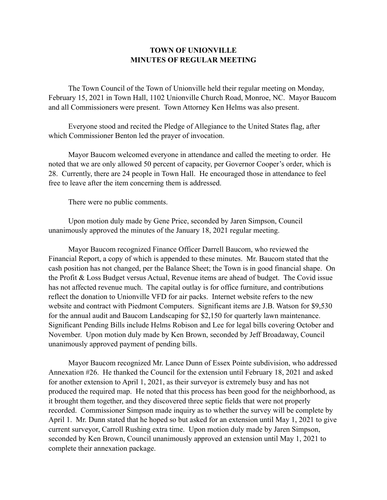## **TOWN OF UNIONVILLE MINUTES OF REGULAR MEETING**

 The Town Council of the Town of Unionville held their regular meeting on Monday, February 15, 2021 in Town Hall, 1102 Unionville Church Road, Monroe, NC. Mayor Baucom and all Commissioners were present. Town Attorney Ken Helms was also present.

 Everyone stood and recited the Pledge of Allegiance to the United States flag, after which Commissioner Benton led the prayer of invocation.

 Mayor Baucom welcomed everyone in attendance and called the meeting to order. He noted that we are only allowed 50 percent of capacity, per Governor Cooper's order, which is 28. Currently, there are 24 people in Town Hall. He encouraged those in attendance to feel free to leave after the item concerning them is addressed.

There were no public comments.

 Upon motion duly made by Gene Price, seconded by Jaren Simpson, Council unanimously approved the minutes of the January 18, 2021 regular meeting.

 Mayor Baucom recognized Finance Officer Darrell Baucom, who reviewed the Financial Report, a copy of which is appended to these minutes. Mr. Baucom stated that the cash position has not changed, per the Balance Sheet; the Town is in good financial shape. On the Profit & Loss Budget versus Actual, Revenue items are ahead of budget. The Covid issue has not affected revenue much. The capital outlay is for office furniture, and contributions reflect the donation to Unionville VFD for air packs. Internet website refers to the new website and contract with Piedmont Computers. Significant items are J.B. Watson for \$9,530 for the annual audit and Baucom Landscaping for \$2,150 for quarterly lawn maintenance. Significant Pending Bills include Helms Robison and Lee for legal bills covering October and November. Upon motion duly made by Ken Brown, seconded by Jeff Broadaway, Council unanimously approved payment of pending bills.

 Mayor Baucom recognized Mr. Lance Dunn of Essex Pointe subdivision, who addressed Annexation #26. He thanked the Council for the extension until February 18, 2021 and asked for another extension to April 1, 2021, as their surveyor is extremely busy and has not produced the required map. He noted that this process has been good for the neighborhood, as it brought them together, and they discovered three septic fields that were not properly recorded. Commissioner Simpson made inquiry as to whether the survey will be complete by April 1. Mr. Dunn stated that he hoped so but asked for an extension until May 1, 2021 to give current surveyor, Carroll Rushing extra time. Upon motion duly made by Jaren Simpson, seconded by Ken Brown, Council unanimously approved an extension until May 1, 2021 to complete their annexation package.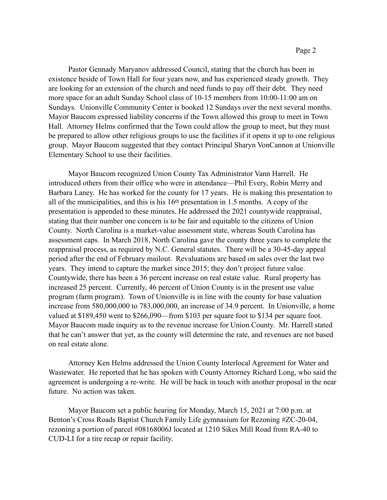Pastor Gennady Maryanov addressed Council, stating that the church has been in existence beside of Town Hall for four years now, and has experienced steady growth. They are looking for an extension of the church and need funds to pay off their debt. They need more space for an adult Sunday School class of 10-15 members from 10:00-11:00 am on Sundays. Unionville Community Center is booked 12 Sundays over the next several months. Mayor Baucom expressed liability concerns if the Town allowed this group to meet in Town Hall. Attorney Helms confirmed that the Town could allow the group to meet, but they must be prepared to allow other religious groups to use the facilities if it opens it up to one religious group. Mayor Baucom suggested that they contact Principal Sharyn VonCannon at Unionville Elementary School to use their facilities.

 Mayor Baucom recognized Union County Tax Administrator Vann Harrell. He introduced others from their office who were in attendance—Phil Every, Robin Merry and Barbara Laney. He has worked for the county for 17 years. He is making this presentation to all of the municipalities, and this is his 16th presentation in 1.5 months. A copy of the presentation is appended to these minutes. He addressed the 2021 countywide reappraisal, stating that their number one concern is to be fair and equitable to the citizens of Union County. North Carolina is a market-value assessment state, whereas South Carolina has assessment caps. In March 2018, North Carolina gave the county three years to complete the reappraisal process, as required by N.C. General statutes. There will be a 30-45-day appeal period after the end of February mailout. Revaluations are based on sales over the last two years. They intend to capture the market since 2015; they don't project future value. Countywide, there has been a 36 percent increase on real estate value. Rural property has increased 25 percent. Currently, 46 percent of Union County is in the present use value program (farm program). Town of Unionville is in line with the county for base valuation increase from 580,000,000 to 783,000,000, an increase of 34.9 percent. In Unionville, a home valued at \$189,450 went to \$266,090—from \$103 per square foot to \$134 per square foot. Mayor Baucom made inquiry as to the revenue increase for Union County. Mr. Harrell stated that he can't answer that yet, as the county will determine the rate, and revenues are not based on real estate alone.

 Attorney Ken Helms addressed the Union County Interlocal Agreement for Water and Wastewater. He reported that he has spoken with County Attorney Richard Long, who said the agreement is undergoing a re-write. He will be back in touch with another proposal in the near future. No action was taken.

 Mayor Baucom set a public hearing for Monday, March 15, 2021 at 7:00 p.m. at Benton's Cross Roads Baptist Church Family Life gymnasium for Rezoning #ZC-20-04, rezoning a portion of parcel #08168006J located at 1210 Sikes Mill Road from RA-40 to CUD-LI for a tire recap or repair facility.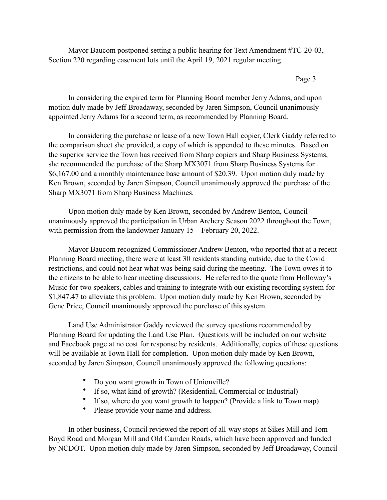Mayor Baucom postponed setting a public hearing for Text Amendment #TC-20-03, Section 220 regarding easement lots until the April 19, 2021 regular meeting.

## Page 3

In considering the expired term for Planning Board member Jerry Adams, and upon motion duly made by Jeff Broadaway, seconded by Jaren Simpson, Council unanimously appointed Jerry Adams for a second term, as recommended by Planning Board.

 In considering the purchase or lease of a new Town Hall copier, Clerk Gaddy referred to the comparison sheet she provided, a copy of which is appended to these minutes. Based on the superior service the Town has received from Sharp copiers and Sharp Business Systems, she recommended the purchase of the Sharp MX3071 from Sharp Business Systems for \$6,167.00 and a monthly maintenance base amount of \$20.39. Upon motion duly made by Ken Brown, seconded by Jaren Simpson, Council unanimously approved the purchase of the Sharp MX3071 from Sharp Business Machines.

 Upon motion duly made by Ken Brown, seconded by Andrew Benton, Council unanimously approved the participation in Urban Archery Season 2022 throughout the Town, with permission from the landowner January 15 – February 20, 2022.

 Mayor Baucom recognized Commissioner Andrew Benton, who reported that at a recent Planning Board meeting, there were at least 30 residents standing outside, due to the Covid restrictions, and could not hear what was being said during the meeting. The Town owes it to the citizens to be able to hear meeting discussions. He referred to the quote from Holloway's Music for two speakers, cables and training to integrate with our existing recording system for \$1,847.47 to alleviate this problem. Upon motion duly made by Ken Brown, seconded by Gene Price, Council unanimously approved the purchase of this system.

 Land Use Administrator Gaddy reviewed the survey questions recommended by Planning Board for updating the Land Use Plan. Questions will be included on our website and Facebook page at no cost for response by residents. Additionally, copies of these questions will be available at Town Hall for completion. Upon motion duly made by Ken Brown, seconded by Jaren Simpson, Council unanimously approved the following questions:

- Do you want growth in Town of Unionville?
- If so, what kind of growth? (Residential, Commercial or Industrial)
- If so, where do you want growth to happen? (Provide a link to Town map)
- Please provide your name and address.

In other business, Council reviewed the report of all-way stops at Sikes Mill and Tom Boyd Road and Morgan Mill and Old Camden Roads, which have been approved and funded by NCDOT. Upon motion duly made by Jaren Simpson, seconded by Jeff Broadaway, Council